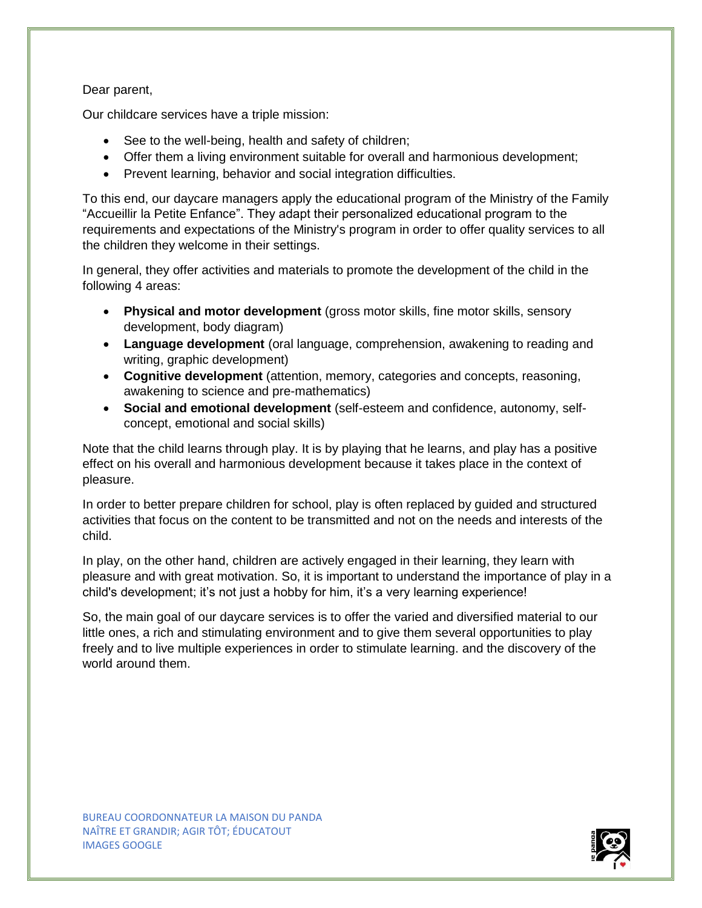Dear parent,

Our childcare services have a triple mission:

- See to the well-being, health and safety of children;
- Offer them a living environment suitable for overall and harmonious development;
- Prevent learning, behavior and social integration difficulties.

To this end, our daycare managers apply the educational program of the Ministry of the Family "Accueillir la Petite Enfance". They adapt their personalized educational program to the requirements and expectations of the Ministry's program in order to offer quality services to all the children they welcome in their settings.

In general, they offer activities and materials to promote the development of the child in the following 4 areas:

- **Physical and motor development** (gross motor skills, fine motor skills, sensory development, body diagram)
- **Language development** (oral language, comprehension, awakening to reading and writing, graphic development)
- **Cognitive development** (attention, memory, categories and concepts, reasoning, awakening to science and pre-mathematics)
- **Social and emotional development** (self-esteem and confidence, autonomy, selfconcept, emotional and social skills)

Note that the child learns through play. It is by playing that he learns, and play has a positive effect on his overall and harmonious development because it takes place in the context of pleasure.

In order to better prepare children for school, play is often replaced by guided and structured activities that focus on the content to be transmitted and not on the needs and interests of the child.

In play, on the other hand, children are actively engaged in their learning, they learn with pleasure and with great motivation. So, it is important to understand the importance of play in a child's development; it's not just a hobby for him, it's a very learning experience!

So, the main goal of our daycare services is to offer the varied and diversified material to our little ones, a rich and stimulating environment and to give them several opportunities to play freely and to live multiple experiences in order to stimulate learning. and the discovery of the world around them.

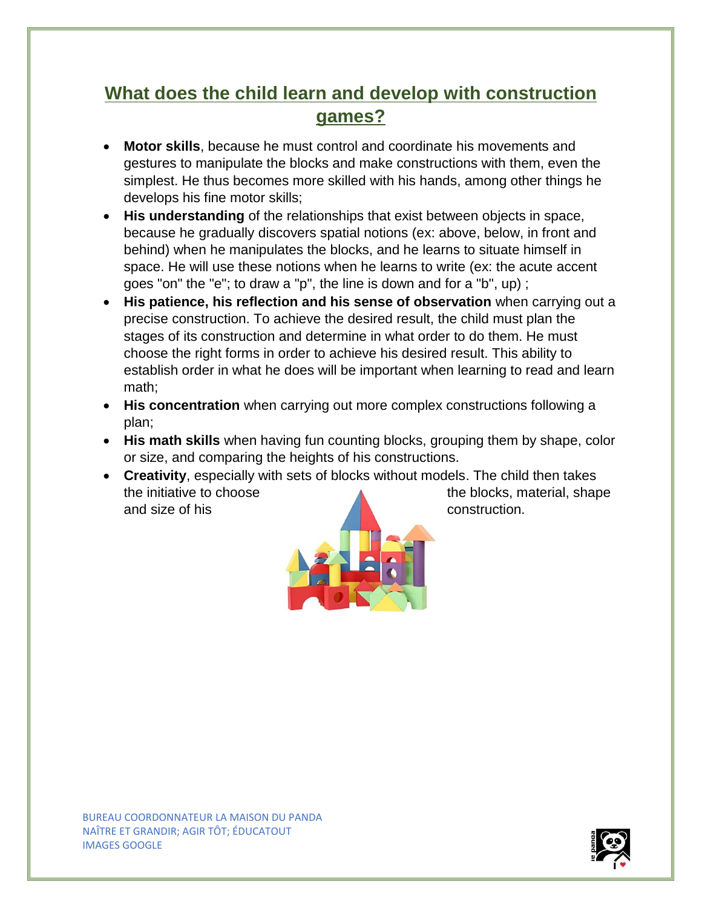## **What does the child learn and develop with construction games?**

- **Motor skills**, because he must control and coordinate his movements and gestures to manipulate the blocks and make constructions with them, even the simplest. He thus becomes more skilled with his hands, among other things he develops his fine motor skills;
- **His understanding** of the relationships that exist between objects in space, because he gradually discovers spatial notions (ex: above, below, in front and behind) when he manipulates the blocks, and he learns to situate himself in space. He will use these notions when he learns to write (ex: the acute accent goes "on" the "e"; to draw a "p", the line is down and for a "b", up) ;
- **His patience, his reflection and his sense of observation** when carrying out a precise construction. To achieve the desired result, the child must plan the stages of its construction and determine in what order to do them. He must choose the right forms in order to achieve his desired result. This ability to establish order in what he does will be important when learning to read and learn math;
- **His concentration** when carrying out more complex constructions following a plan;
- **His math skills** when having fun counting blocks, grouping them by shape, color or size, and comparing the heights of his constructions.
- **Creativity**, especially with sets of blocks without models. The child then takes the initiative to choose the blocks, material, shape and size of his construction.



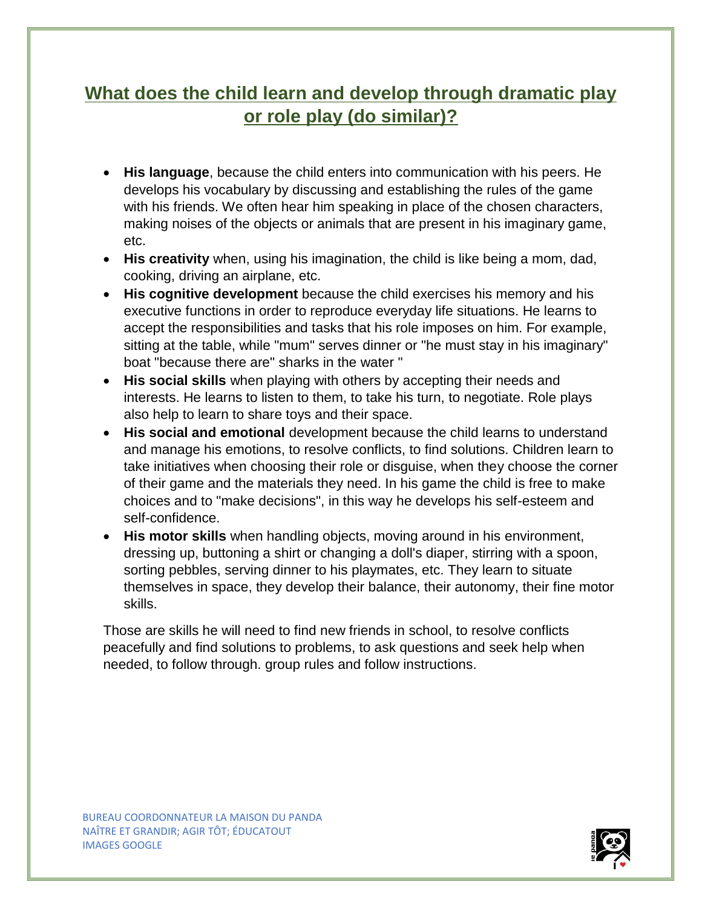# **What does the child learn and develop through dramatic play or role play (do similar)?**

- **His language**, because the child enters into communication with his peers. He develops his vocabulary by discussing and establishing the rules of the game with his friends. We often hear him speaking in place of the chosen characters, making noises of the objects or animals that are present in his imaginary game, etc.
- **His creativity** when, using his imagination, the child is like being a mom, dad, cooking, driving an airplane, etc.
- **His cognitive development** because the child exercises his memory and his executive functions in order to reproduce everyday life situations. He learns to accept the responsibilities and tasks that his role imposes on him. For example, sitting at the table, while "mum" serves dinner or "he must stay in his imaginary" boat "because there are" sharks in the water "
- **His social skills** when playing with others by accepting their needs and interests. He learns to listen to them, to take his turn, to negotiate. Role plays also help to learn to share toys and their space.
- **His social and emotional** development because the child learns to understand and manage his emotions, to resolve conflicts, to find solutions. Children learn to take initiatives when choosing their role or disguise, when they choose the corner of their game and the materials they need. In his game the child is free to make choices and to "make decisions", in this way he develops his self-esteem and self-confidence.
- **His motor skills** when handling objects, moving around in his environment, dressing up, buttoning a shirt or changing a doll's diaper, stirring with a spoon, sorting pebbles, serving dinner to his playmates, etc. They learn to situate themselves in space, they develop their balance, their autonomy, their fine motor skills.

Those are skills he will need to find new friends in school, to resolve conflicts peacefully and find solutions to problems, to ask questions and seek help when needed, to follow through. group rules and follow instructions.

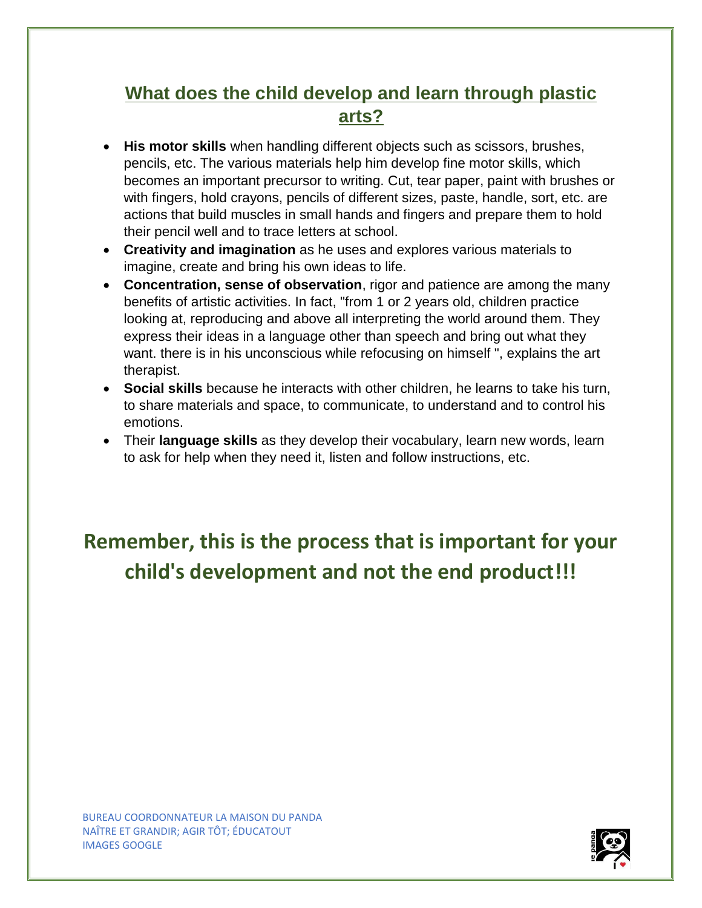## **What does the child develop and learn through plastic arts?**

- **His motor skills** when handling different objects such as scissors, brushes, pencils, etc. The various materials help him develop fine motor skills, which becomes an important precursor to writing. Cut, tear paper, paint with brushes or with fingers, hold crayons, pencils of different sizes, paste, handle, sort, etc. are actions that build muscles in small hands and fingers and prepare them to hold their pencil well and to trace letters at school.
- **Creativity and imagination** as he uses and explores various materials to imagine, create and bring his own ideas to life.
- **Concentration, sense of observation**, rigor and patience are among the many benefits of artistic activities. In fact, "from 1 or 2 years old, children practice looking at, reproducing and above all interpreting the world around them. They express their ideas in a language other than speech and bring out what they want. there is in his unconscious while refocusing on himself ", explains the art therapist.
- **Social skills** because he interacts with other children, he learns to take his turn, to share materials and space, to communicate, to understand and to control his emotions.
- Their **language skills** as they develop their vocabulary, learn new words, learn to ask for help when they need it, listen and follow instructions, etc.

# **Remember, this is the process that is important for your child's development and not the end product!!!**

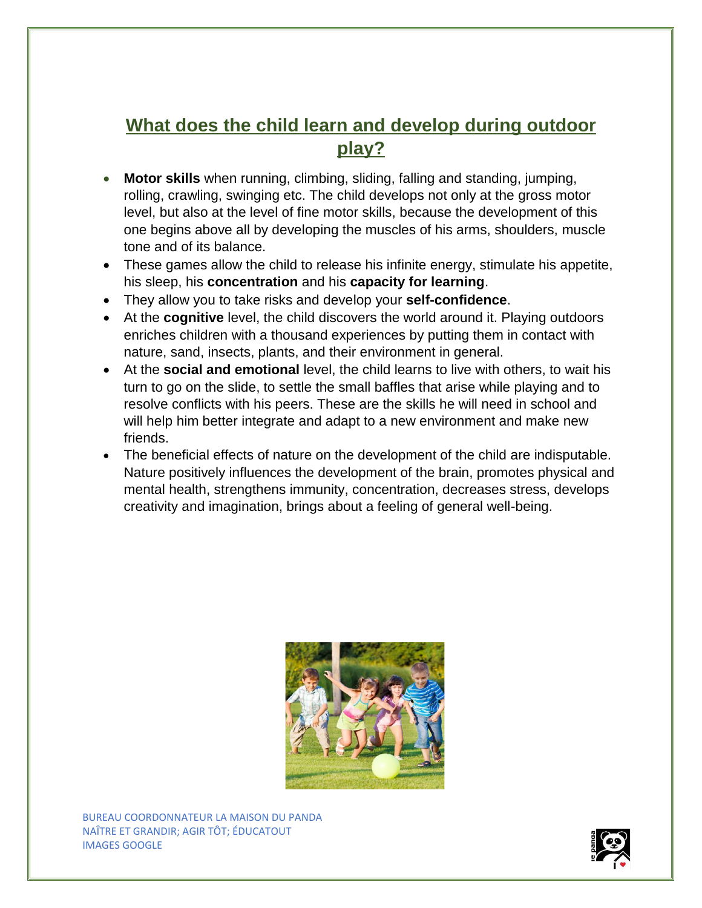## **What does the child learn and develop during outdoor play?**

- **Motor skills** when running, climbing, sliding, falling and standing, jumping, rolling, crawling, swinging etc. The child develops not only at the gross motor level, but also at the level of fine motor skills, because the development of this one begins above all by developing the muscles of his arms, shoulders, muscle tone and of its balance.
- These games allow the child to release his infinite energy, stimulate his appetite, his sleep, his **concentration** and his **capacity for learning**.
- They allow you to take risks and develop your **self-confidence**.
- At the **cognitive** level, the child discovers the world around it. Playing outdoors enriches children with a thousand experiences by putting them in contact with nature, sand, insects, plants, and their environment in general.
- At the **social and emotional** level, the child learns to live with others, to wait his turn to go on the slide, to settle the small baffles that arise while playing and to resolve conflicts with his peers. These are the skills he will need in school and will help him better integrate and adapt to a new environment and make new friends.
- The beneficial effects of nature on the development of the child are indisputable. Nature positively influences the development of the brain, promotes physical and mental health, strengthens immunity, concentration, decreases stress, develops creativity and imagination, brings about a feeling of general well-being.



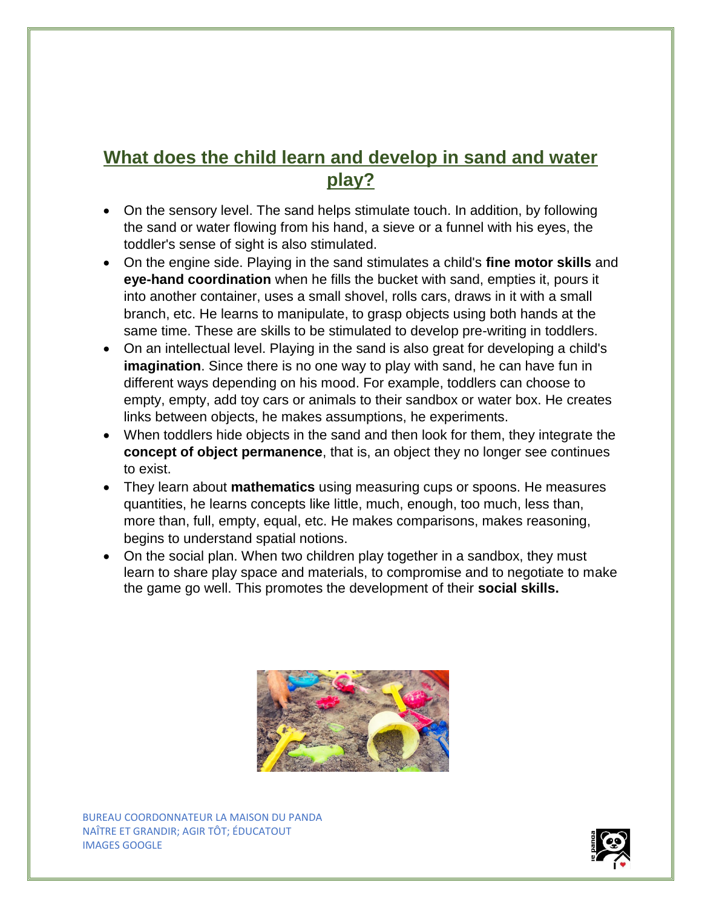#### **What does the child learn and develop in sand and water play?**

- On the sensory level. The sand helps stimulate touch. In addition, by following the sand or water flowing from his hand, a sieve or a funnel with his eyes, the toddler's sense of sight is also stimulated.
- On the engine side. Playing in the sand stimulates a child's **fine motor skills** and **eye-hand coordination** when he fills the bucket with sand, empties it, pours it into another container, uses a small shovel, rolls cars, draws in it with a small branch, etc. He learns to manipulate, to grasp objects using both hands at the same time. These are skills to be stimulated to develop pre-writing in toddlers.
- On an intellectual level. Playing in the sand is also great for developing a child's **imagination**. Since there is no one way to play with sand, he can have fun in different ways depending on his mood. For example, toddlers can choose to empty, empty, add toy cars or animals to their sandbox or water box. He creates links between objects, he makes assumptions, he experiments.
- When toddlers hide objects in the sand and then look for them, they integrate the **concept of object permanence**, that is, an object they no longer see continues to exist.
- They learn about **mathematics** using measuring cups or spoons. He measures quantities, he learns concepts like little, much, enough, too much, less than, more than, full, empty, equal, etc. He makes comparisons, makes reasoning, begins to understand spatial notions.
- On the social plan. When two children play together in a sandbox, they must learn to share play space and materials, to compromise and to negotiate to make the game go well. This promotes the development of their **social skills.**



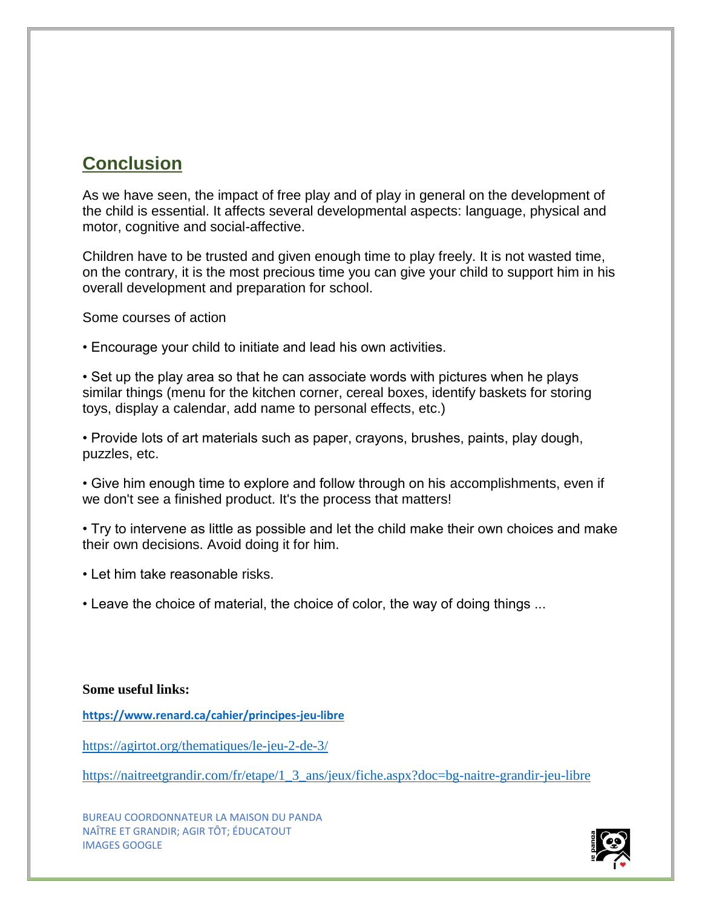#### **Conclusion**

As we have seen, the impact of free play and of play in general on the development of the child is essential. It affects several developmental aspects: language, physical and motor, cognitive and social-affective.

Children have to be trusted and given enough time to play freely. It is not wasted time, on the contrary, it is the most precious time you can give your child to support him in his overall development and preparation for school.

Some courses of action

• Encourage your child to initiate and lead his own activities.

• Set up the play area so that he can associate words with pictures when he plays similar things (menu for the kitchen corner, cereal boxes, identify baskets for storing toys, display a calendar, add name to personal effects, etc.)

• Provide lots of art materials such as paper, crayons, brushes, paints, play dough, puzzles, etc.

• Give him enough time to explore and follow through on his accomplishments, even if we don't see a finished product. It's the process that matters!

- Try to intervene as little as possible and let the child make their own choices and make their own decisions. Avoid doing it for him.
- Let him take reasonable risks.
- Leave the choice of material, the choice of color, the way of doing things ...

#### **Some useful links:**

**<https://www.renard.ca/cahier/principes-jeu-libre>**

<https://agirtot.org/thematiques/le-jeu-2-de-3/>

[https://naitreetgrandir.com/fr/etape/1\\_3\\_ans/jeux/fiche.aspx?doc=bg-naitre-grandir-jeu-libre](https://naitreetgrandir.com/fr/etape/1_3_ans/jeux/fiche.aspx?doc=bg-naitre-grandir-jeu-libre)